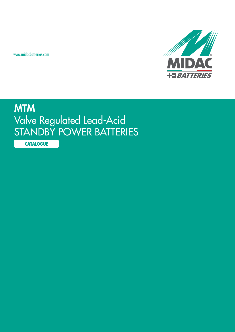www.midacbatteries.com



# **MTM** Valve Regulated Lead-Acid STANDBY POWER BATTERIES

**CATALOGUE**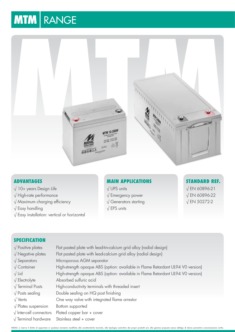# **MTM** RANGE



# **Advantages**

- √ 10+ years Design Life
- √ High-rate performance
- √ Maximum charging efficiency
- √ Easy handling
- √ Easy installation: vertical or horizontal

# **Main Applications**

- √ UPS units
- √ Emergency power
- √ Generators starting
- √ EPS units

# **Standard Ref.** √ EN 60896-21

√ EN 60896-22 √ EN 50272-2

# **SPECIFICATION**

- 
- 
- 
- 
- 
- 
- 
- 
- 
- 
- 
- √ Terminal hardware Stainless steel + cover
- √ Positive plates Flat pasted plate with lead-tin-calcium grid alloy (radial design) √ Negative plates Flat pasted plate with lead-calcium grid alloy (radial design) √ Separators Microporous AGM separator √ Container High-strength opaque ABS (option: available in Flame Retardant UL94 V0 version) √ Lid High-strength opaque ABS (option: available in Flame Retardant UL94 V0 version) √ Electrolyte Absorbed sulfuric acid √ Terminal Posts High-conductivity terminals with threaded insert √ Posts sealing Double sealing on HQ post finishing √ Vents One way valve with integrated flame arrestor √ Plates suspension Bottom supported √ Inter-cell connectors Plated copper bar + cover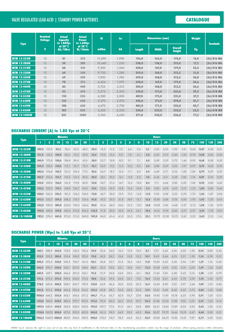# Valve Regulated Lead-Acid | STANDBY POWER BATTERIES **CATALOGUE**

| <b>Type</b>         | <b>Nominal</b><br><b>Voltage</b> | <b>Actual</b><br>Capacity<br>to 1.80Vpc | <b>Actual</b><br><b>Power</b><br>to 1.60Vpc | <b>Ri</b> | <b>Isc</b> |               | <b>Dimensions (mm)</b> | <b>Weight</b>                   | <b>Terminals</b> |                                       |
|---------------------|----------------------------------|-----------------------------------------|---------------------------------------------|-----------|------------|---------------|------------------------|---------------------------------|------------------|---------------------------------------|
|                     | $\mathbf{v}$                     | at 20°C<br>Ah/10hrs                     | at 20°C<br>W/10min                          | mOhm      | kA         | <b>Length</b> | <b>Width</b>           | <b>Overall</b><br><b>Height</b> | Kg               |                                       |
| <b>MTM 12-233W</b>  | 12                               | 41                                      | 233                                         | 11,690    | 1,090      | 196,0         | 165,0                  | 170,0                           | 14,0             | $(2x)$ D <sub>16</sub> M <sub>6</sub> |
| <b>MTM 12-280W</b>  | 12                               | 50                                      | 280                                         | 10,640    | 1,220      | 228,0         | 138,0                  | 213,0                           | 17,2             | $(2x)$ D <sub>16</sub> M <sub>6</sub> |
| <b>MTM 12-310W</b>  | 12                               | 60                                      | 310                                         | 9,200     | 1,360      | 350,0         | 167,0                  | 179,0                           | 23,5             | $(2x)$ D <sub>16</sub> M <sub>6</sub> |
| <b>MTM 12-320W</b>  | 12                               | 64                                      | 320                                         | 9,720     | 1,280      | 259,0         | 168,0                  | 212,5                           | 21,8             | $(2x)$ D <sub>16</sub> M <sub>6</sub> |
| <b>MTM 12-350W</b>  | 12                               | 69                                      | 350                                         | 7,200     | 1,760      | 259,0         | 168,0                  | 212,5                           | 24,0             | $(2x)$ D <sub>16</sub> M <sub>6</sub> |
| <b>MTM 12-375W</b>  | 12                               | 78                                      | 375                                         | 6,424     | 1,970      | 350,0         | 167,0                  | 179,0                           | 24,6             | $(2x)$ D <sub>16</sub> M <sub>6</sub> |
| <b>MTM 12-440W</b>  | 12                               | 83                                      | 440                                         | 5,722     | 2,213      | 305,0         | 168,0                  | 212,5                           | 26, 6            | $(2x)$ D <sub>16</sub> M <sub>6</sub> |
| <b>MTM 12-470W</b>  | 12                               | 92                                      | 470                                         | 5,275     | 2,393      | 329,0         | 172,0                  | 223,0                           | 29,9             | $(2x)$ D18 M8                         |
| <b>MTM 12-535W</b>  | 12                               | 110                                     | 535                                         | 6,380     | 2,000      | 407,0         | 173,0                  | 231,0                           | 37,2             | $(2x)$ D18 M8                         |
| <b>MTM 12-620W</b>  | 12                               | 125                                     | 620                                         | 5,570     | 2,270      | 345,0         | 172,0                  | 278,0                           | 41,7             | $(2x)$ D18 M8                         |
| <b>MTM 12-650W</b>  | 12                               | 140                                     | 650                                         | 4,670     | 2,700      | 483,0         | 171,0                  | 223,0                           | 45,7             | $(2x)$ D18 M8                         |
| <b>MTM 12-830W</b>  | 12                               | 185                                     | 830                                         | 3,620     | 3,520      | 234,0         | 522,0                  | 223,0                           | 62,5             | $(2x)$ D18 M8                         |
| <b>MTM 12-1000W</b> | 12                               | 231                                     | 1000                                        | 2,760     | 4,650      | 271,0         | 534,0                  | 236,0                           | 77,2             | $(2x)$ D18 M8                         |

## **DISCHARGE CURRENT (A) to 1.80 Vpc at 20°C**

|                     | <b>Minutes</b> |              |       |       |       |       |       | <b>Hours</b> |      |      |      |      |      |          |       |       |      |      |      |      |      |
|---------------------|----------------|--------------|-------|-------|-------|-------|-------|--------------|------|------|------|------|------|----------|-------|-------|------|------|------|------|------|
| <b>Type</b>         |                | $\mathbf{2}$ | 10    | 15    | 20    | 30    |       | 2            | 3    | 5    |      | 8    | 10   | $12 \,$  | 20    | 24    | 48   | 72   | 100  | 120  | 240  |
| <b>MTM 12-233W</b>  | 189.0          | 119,3        | 92,2  | 74,4  | 63.3  | 48,5  | 29.3  | 16,5         | 11,3 | 7,5  | 6.4  | 5,0  | 4,1  | 3,55     | 2,23  | 1,90  | 1.01 | 0.64 | 0,47 | 0,40 | 0.21 |
| <b>MTM 12-280W</b>  | 211.4          | 145,2        | 104,0 | 86,2  | 73,3  | 55,0  | 32,5  | 19,0         | 13,6 | 9,0  | 7,8  | 6,1  | 5,0  | 4,39     | 2,72  | 2,40  | 1,24 | 0,78 | 0,58 | 0,49 | 0,26 |
| <b>MTM 12-310W</b>  | 249,9          | 172,8        | 130,6 | 106,8 | 89,4  | 67,6  | 38,9  | 22,7         | 15,8 | 10,5 | 9,1  | 7,1  | 6,0  | 5,08     | 3,22  | 2,72  | 1,46 | 0,92 | 0,68 | 0,58 | 0,30 |
| <b>MTM 12-320W</b>  | 269,5          | 185.2        | 134,0 | 113,1 | 95,7  | 72,5  | 42,1  | 24,9         | 17,5 | 11,5 | 10,2 | 8,3  | 6,4  | 5,80     | 3,47  | 3,20  | 1.57 | 0,99 | 0,74 | 0,62 | 0,33 |
| <b>MTM 12-350W</b>  | 285.4          | 196.8        | 145.7 | 121,5 | 102,6 | 77,3  | 45.6  | 26,7         | 18.7 | 12,4 | 11.1 | 8.9  | 6,9  | 40<br>6. | 3.7   | 3,54  | 1.68 | 1,06 | 0,79 | 0,67 | 0,35 |
| <b>MTM 12-375W</b>  | 305.7          | 212.6        | 161,7 | 135,2 | 112,5 | 85,0  | 50,5  | 28,1         | 20,5 | 14,1 | 11,8 | 9,3  | 7,8  | 6.45     | 4,11  | 3,38  | 1,86 | 1,18 | 0,87 | 0,74 | 0,39 |
| <b>MTM 12-440W</b>  | 315.0          | 200.0        | 166.9 | 141,0 | 117.0 | 85,0  | 52,0  | 30,7         | 21,5 | 14,7 | 12,6 | 10,0 | 8,3  | 7.11     | 4,46  | 3,82  | 2,02 | 1,28 | 0,95 | 0,80 | 0,42 |
| <b>MTM 12-470W</b>  | 332,5          | 225.3        | 179,1 | 148,8 | 126,7 | 95,0  | 57,6  | 33,6         | 23,9 | 15,8 | 13,6 | 10,8 | 9,2  | 7,69     | 4,70  | 4,10  | 2,13 | 1,35 | 1,00 | 0,85 | 0,44 |
| <b>MTM 12-535W</b>  | 420.0          | 326.3        | 231,5 | 181,2 | 156,2 | 124,2 | 72.0  | 43,7         | 30,0 | 19,9 | 17,5 | 13,8 | 11,0 | 9.76     | 5,94  | 5,33  | 2,70 | 1,70 | 1,26 | 1,07 | 0,56 |
| <b>MTM 12-620W</b>  | 472,5          | 332,7        | 259,3 | 208,2 | 176.7 | 135,4 | 81,0  | 47,2         | 33,3 | 21,8 | 18,9 | 15,1 | 12,5 | 10,83    | 6,68  | 5,74  | 3,03 | 1,92 | 1,42 | 1,20 | 0,63 |
| <b>MTM 12-650W</b>  | 525.0          | 390.0        | 289.0 | 232,0 | 196,0 | 146.0 | 89.0  | 52,4         | 36,9 | 24,5 | 21,2 | 17,0 | 14,0 | 12,00    | 7,43  | 6,68  | 3,37 | 2,13 | 1,58 | 1,33 | 0,70 |
| <b>MTM 12-830W</b>  | 700.0          | 490.0        | 374,0 | 320,0 | 273,0 | 206,0 | 123,0 | 71,8         | 50,0 | 33,0 | 29,0 | 23,1 | 18,5 | 16,16    | 9,90  | 8,40  | 4,72 | 2,97 | 2,10 | 1,78 | 0,93 |
| <b>MTM 12-1000W</b> | 787.5          | 576.0        | 469.0 | 373.0 | 311.0 | 240.0 | 149.0 | 86.5         | 61.4 | 41,0 | 35,3 | 27.6 | 23,1 | 19.79    | 12.38 | 10.73 | 5,62 | 3,55 | 2,63 | 2,15 | 1.16 |

## **DISCHARGE POWER (Wpc) to 1.60 Vpc at 20°C**

| <b>Type</b>         | <b>Minutes</b> |              |                      |       |       |       |       | <b>Hours</b> |       |      |      |      |      |       |       |       |       |      |      |      |      |
|---------------------|----------------|--------------|----------------------|-------|-------|-------|-------|--------------|-------|------|------|------|------|-------|-------|-------|-------|------|------|------|------|
|                     |                | $\mathbf{2}$ | 10                   | 15    | 20    | 30    |       | $\mathbf{2}$ | 3     | F    |      | 8    | 10   | 12    | 20    | 24    | 48    | 72   | 100  | 120  | 240  |
| <b>MTM 12-233W</b>  | 467.1          | 288.9        | 233.0                | 178,0 | 142.0 | 103.4 | 59,9  | 35,4         | 24,0  | 16,2 | 13,8 | 10.6 | 8,7  | 7,51  | 4,45  | 4.06  | 2,05  | 1,30 | 0,95 | 0,80 | 0,42 |
| <b>MTM 12-280W</b>  | 522,5          | 355.2        | 280.0                | 210,6 | 168,0 | 123,0 | 70,0  | 40,3         | 28,3  | 18,6 | 15,8 | 12,3 | 10,1 | 8,69  | 5,44  | 4,74  | 2,51  | 1,58 | 1,16 | 0,98 | 0,51 |
| <b>MTM 12-310W</b>  | 600.3          | 393.5        | 310,0                | 249.5 | 194.7 | 141.5 | 82,1  | 45,8         | 32,7  | 21,3 | 18,4 | 14.3 | 11,8 | 10.03 | 6,43  | 5,56  | 2,96  | 1,87 | 1,37 | 1,16 | 0,60 |
| <b>MTM 12-320W</b>  | 646,5          | 399.7        | 320.0                | 242.1 | 201,0 | 148,4 | 83,7  | 47,5         | 33,8  | 22,1 | 18,8 | 14,7 | 12,2 | 10,38 | 6,93  | 5,76  | 3,19  | 2,02 | 1,47 | 1,24 | 0,65 |
| <b>MTM 12-350W</b>  | 687.4          | 437.1        | 350,0                | 266.4 | 221,0 | 163,1 | 91,5  | 51,9         | 36,8  | 24,0 | 20,6 | 16,  | 13,3 | 11.43 | 7,42  | 6,38  | 3,42  | 2,16 | 1,58 | 1,33 | 0,70 |
| <b>MTM 12-375W</b>  | 721.6          | 475.6        | 375,0                | 290,5 | 236,0 | 172,2 | 98,8  | 55,6         | 39,3  | 26,0 | 22,1 | 17,2 | 14,2 | 12,24 | 8,21  | 6,63  | 3,78  | 2,39 | 1,74 | 1,42 | 0,77 |
| <b>MTM 12-440W</b>  | 778.5          | 549.6        | 440.0                | 328.7 | 265.7 | 199.9 | 114.8 | 65,0         | 46.4  | 30,2 | 25,8 | 20,2 | 16,7 | 13,60 | 8,90  | 7,22  | 3.97  | 2,46 | 1,89 | 1,53 | 0,84 |
| <b>MTM 12-470W</b>  | 821.8          | 591.2        | 470.0                | 362,6 | 292,4 | 213,2 | 122,5 | 69,8         | 48,7  | 33,0 | 28,3 | 22,0 | 17,9 | 15,21 | 9,40  | 8,42  | 4,33  | 2,73 | 2.04 | 1,65 | 0,88 |
| <b>MTM 12-535W</b>  | 1038.0         | 668.2        | 535.0                | 433.1 | 360,6 | 271,2 | 160,7 | 91,4         | 63,7  | 42,0 | 35,7 | 27,8 | 23,0 | 19,82 | 11,87 | 10,74 | 6,25  | 3,90 | 2.91 | 1,20 | 0,13 |
| <b>MTM 12-620W</b>  | 1167.8         | 740.0        | 620,0                | 483.4 | 397.7 | 295,3 | 173.6 | 99,4         | 68,3  | 46,5 | 39,4 | 30.7 | 25,3 | 21,86 | 13,36 | 11,88 | 7,03  | 4,31 | 3,27 | 1,35 | 0,14 |
| <b>MTM 12-650W</b>  | 1297.5         | 840.0        | 650.0                | 526.0 | 438.0 | 330,0 | 192,0 | 109,7        | 77,5  | 51,9 | 44,7 | 34.0 | 27,9 | 24,21 | 14,84 | 12,89 | 8,26  | 5,05 | 3,62 | 1,50 | 0,16 |
| <b>MTM 12-830W</b>  | 1730.0         | 1037.0       | 830,0                | 672,0 | 559.0 | 422,0 | 245.0 | 141,5        | 98,9  | 64,9 | 55,5 | 43,2 | 35,6 | 30,07 | 19,79 | 16,46 | 10,95 | 6,67 | 4.68 | 2,00 | 0,21 |
| <b>MTM 12-1000W</b> |                |              | 1946.3 1249,0 1000,0 | 807.0 | 674.0 | 507.0 | 298.0 | 170.5        | 118.7 | 78,2 | 66.9 | 52,3 | 42,9 | 37,08 | 24,73 | 19,83 | 13,01 | 7,97 | 5.77 | 2,50 | 0,26 |